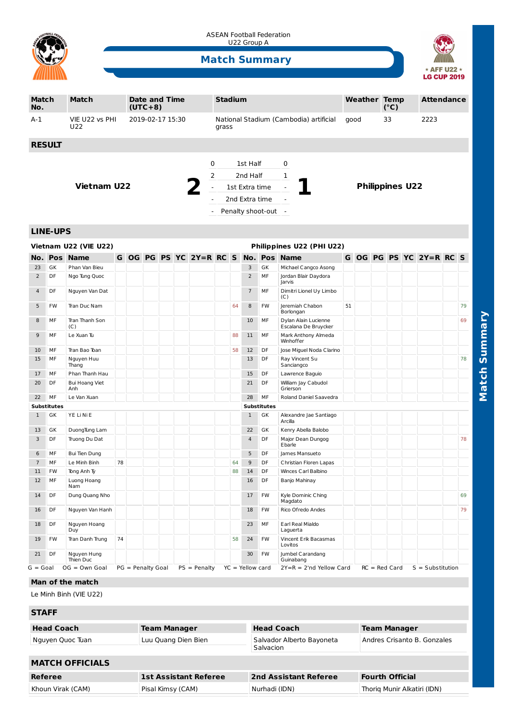

ASEAN Football Federation U22 Group A

## **Match Summary**



| <b>Match</b><br>No. |                          | <b>Match</b>                 |    |  | <b>Date and Time</b><br>$(UTC+8)$ |  |  |                                                                                                                                        | <b>Stadium</b> |    |                |                          |                                              |    | <b>Weather Temp</b> |  | $(^{\circ}C)$ |  | <b>Attendance</b>       |  |    |
|---------------------|--------------------------|------------------------------|----|--|-----------------------------------|--|--|----------------------------------------------------------------------------------------------------------------------------------------|----------------|----|----------------|--------------------------|----------------------------------------------|----|---------------------|--|---------------|--|-------------------------|--|----|
| $A-1$               |                          | VIE U22 vs PHI<br>U22        |    |  | 2019-02-17 15:30                  |  |  |                                                                                                                                        | grass          |    |                |                          | National Stadium (Cambodia) artificial       |    | qood                |  | 33            |  | 2223                    |  |    |
|                     | <b>RESULT</b>            |                              |    |  |                                   |  |  |                                                                                                                                        |                |    |                |                          |                                              |    |                     |  |               |  |                         |  |    |
|                     |                          |                              |    |  |                                   |  |  |                                                                                                                                        |                |    |                |                          |                                              |    |                     |  |               |  |                         |  |    |
|                     |                          |                              |    |  |                                   |  |  | 0                                                                                                                                      |                |    | 1st Half       |                          | 0                                            |    |                     |  |               |  |                         |  |    |
|                     |                          |                              |    |  |                                   |  |  | 2                                                                                                                                      |                |    | 2nd Half       |                          | $\mathbf{1}$                                 |    |                     |  |               |  |                         |  |    |
| <b>Vietnam U22</b>  |                          |                              |    |  |                                   |  |  | 1st Extra time<br>$\overline{\phantom{a}}$<br>$\overline{\phantom{a}}$<br>2nd Extra time<br>$\overline{a}$<br>$\overline{\phantom{a}}$ |                |    |                |                          | <b>Philippines U22</b>                       |    |                     |  |               |  |                         |  |    |
|                     |                          |                              |    |  |                                   |  |  |                                                                                                                                        |                |    |                |                          |                                              |    |                     |  |               |  |                         |  |    |
|                     |                          |                              |    |  |                                   |  |  |                                                                                                                                        |                |    |                | Penalty shoot-out        | $\sim$                                       |    |                     |  |               |  |                         |  |    |
|                     | <b>LINE-UPS</b>          |                              |    |  |                                   |  |  |                                                                                                                                        |                |    |                |                          |                                              |    |                     |  |               |  |                         |  |    |
|                     |                          | Vietnam U22 (VIE U22)        |    |  |                                   |  |  |                                                                                                                                        |                |    |                |                          | Philippines U22 (PHI U22)                    |    |                     |  |               |  |                         |  |    |
|                     |                          | <b>No. Pos Name</b>          |    |  |                                   |  |  | G OG PG PS YC 2Y=R RC S No. Pos Name                                                                                                   |                |    |                |                          |                                              |    |                     |  |               |  | G OG PG PS YC 2Y=R RC S |  |    |
| 23                  | GK                       | Phan Van Bieu                |    |  |                                   |  |  |                                                                                                                                        |                |    | 3              | GK                       | Michael Cangco Asong                         |    |                     |  |               |  |                         |  |    |
| $\overline{2}$      | DF                       | Ngo Tung Quoc                |    |  |                                   |  |  |                                                                                                                                        |                |    | $\overline{2}$ | MF                       | Jordan Blair Daydora<br>Jarvis               |    |                     |  |               |  |                         |  |    |
| $\overline{4}$      | DF                       | Nguyen Van Dat               |    |  |                                   |  |  |                                                                                                                                        |                |    | $\overline{7}$ | MF                       | Dimitri Lionel Uy Limbo<br>(C)               |    |                     |  |               |  |                         |  |    |
| 5                   | <b>FW</b>                | Tran Duc Nam                 |    |  |                                   |  |  |                                                                                                                                        |                | 64 | 8              | FW                       | Jeremiah Chabon<br>Borlongan                 | 51 |                     |  |               |  |                         |  | 79 |
| 8                   | МF                       | Tran Thanh Son<br>(C)        |    |  |                                   |  |  |                                                                                                                                        |                |    | 10             | MF                       | Dylan Alain Lucienne<br>Escalana De Bruycker |    |                     |  |               |  |                         |  | 69 |
| 9                   | MF                       | Le Xuan Tu                   |    |  |                                   |  |  |                                                                                                                                        |                | 88 | 11             | MF                       | Mark Anthony Almeda<br>Winhoffer             |    |                     |  |               |  |                         |  |    |
| 10                  | MF                       | Tran Bao Toan                |    |  |                                   |  |  |                                                                                                                                        |                | 58 | 12             | <b>DF</b>                | Jose Miguel Noda Clarino                     |    |                     |  |               |  |                         |  |    |
| 15                  | MF                       | Nguyen Huu<br>Thang          |    |  |                                   |  |  |                                                                                                                                        |                |    | 13             | DF                       | Ray Vincent Su<br>Sanciangco                 |    |                     |  |               |  |                         |  | 78 |
| 17                  | МF                       | Phan Thanh Hau               |    |  |                                   |  |  |                                                                                                                                        |                |    | 15             | DF                       | Lawrence Baguio                              |    |                     |  |               |  |                         |  |    |
| 20                  | DF                       | <b>Bui Hoang Viet</b><br>Anh |    |  |                                   |  |  |                                                                                                                                        |                |    | 21             | <b>DF</b>                | William Jay Cabudol<br>Grierson              |    |                     |  |               |  |                         |  |    |
| 22                  | MF                       | Le Van Xuan                  |    |  |                                   |  |  |                                                                                                                                        |                |    | 28             | MF                       | Roland Daniel Saavedra                       |    |                     |  |               |  |                         |  |    |
| $\mathbf{1}$        | <b>Substitutes</b><br>GK | YE Li Ni E                   |    |  |                                   |  |  |                                                                                                                                        |                |    | $\mathbf{1}$   | <b>Substitutes</b><br>GK | Alexandre Jae Santiago<br>Arcilla            |    |                     |  |               |  |                         |  |    |
| 13                  | GK                       | DuongTung Lam                |    |  |                                   |  |  |                                                                                                                                        |                |    | 22             | GK                       | Kenry Abella Balobo                          |    |                     |  |               |  |                         |  |    |
| $\overline{3}$      | DF                       | Truong Du Dat                |    |  |                                   |  |  |                                                                                                                                        |                |    | $\overline{4}$ | DF                       | Major Dean Dungog<br>Ebarle                  |    |                     |  |               |  |                         |  | 78 |
| 6                   | MF                       | <b>Bui Tien Dung</b>         |    |  |                                   |  |  |                                                                                                                                        |                |    | 5              | DF                       | James Mansueto                               |    |                     |  |               |  |                         |  |    |
| $\overline{7}$      | MF                       | Le Minh Binh                 | 78 |  |                                   |  |  |                                                                                                                                        |                | 64 | 9              | DF                       | Christian Floren Lapas                       |    |                     |  |               |  |                         |  |    |
| 11                  | FW                       | Tong Anh Ty                  |    |  |                                   |  |  |                                                                                                                                        |                | 88 | 14             | DF                       | Winces Carl Balbino                          |    |                     |  |               |  |                         |  |    |
| 12                  | MF                       | Luong Hoang<br>Nam           |    |  |                                   |  |  |                                                                                                                                        |                |    | 16             | DF                       | Banjo Mahinay                                |    |                     |  |               |  |                         |  |    |
| 14                  | DF                       | Dung Quang Nho               |    |  |                                   |  |  |                                                                                                                                        |                |    | 17             | <b>FW</b>                | Kyle Dominic Ching<br>Magdato                |    |                     |  |               |  |                         |  | 69 |
| 16                  | DF                       | Nguyen Van Hanh              |    |  |                                   |  |  |                                                                                                                                        |                |    | 18             | <b>FW</b>                | Rico Ofredo Andes                            |    |                     |  |               |  |                         |  | 79 |

## **Man of the match**

Le Minh Binh (VIE U22)

18 DF Nguyen Hoang Duy

21 DF Nguyen Hung Thien Duc

## **STAFF**

| <b>Head Coach</b>      | <b>Team Manager</b>          | <b>Head Coach</b>                      | <b>Team Manager</b>         |  |  |  |  |  |  |  |
|------------------------|------------------------------|----------------------------------------|-----------------------------|--|--|--|--|--|--|--|
| Nguyen Quoc Tuan       | Luu Quang Dien Bien          | Salvador Alberto Bayoneta<br>Salvacion | Andres Crisanto B. Gonzales |  |  |  |  |  |  |  |
| <b>MATCH OFFICIALS</b> |                              |                                        |                             |  |  |  |  |  |  |  |
| Referee                | <b>1st Assistant Referee</b> | 2nd Assistant Referee                  | <b>Fourth Official</b>      |  |  |  |  |  |  |  |
| Khoun Virak (CAM)      | Pisal Kimsy (CAM)            | Nurhadi (IDN)                          | Thorig Munir Alkatiri (IDN) |  |  |  |  |  |  |  |

G = Goal OG = Own Goal PG = Penalty Goal PS = Penalty YC = Yellow card 2Y=R = 2'nd Yellow Card RC = Red Card S = Substitution

19 FW Tran Danh Trung 74 1 1 58 24 FW Vincent Erik Bacasmas

23 MF Earl Real Mialdo Laguerta

Lovitos

30 FW Jumbel Carandang Guinabang